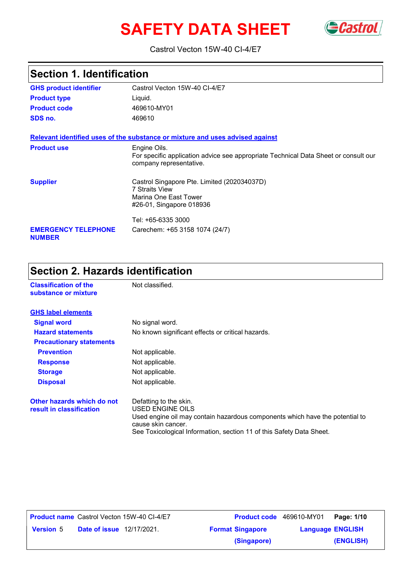# **SAFETY DATA SHEET** GCastrol



#### Castrol Vecton 15W-40 CI-4/E7

# **Section 1. Identification**

| <b>GHS product identifier</b>               | Castrol Vecton 15W-40 CI-4/E7                                                                                                  |
|---------------------------------------------|--------------------------------------------------------------------------------------------------------------------------------|
| <b>Product type</b>                         | Liguid.                                                                                                                        |
| <b>Product code</b>                         | 469610-MY01                                                                                                                    |
| SDS no.                                     | 469610                                                                                                                         |
|                                             | Relevant identified uses of the substance or mixture and uses advised against                                                  |
| <b>Product use</b>                          | Engine Oils.<br>For specific application advice see appropriate Technical Data Sheet or consult our<br>company representative. |
| <b>Supplier</b>                             | Castrol Singapore Pte. Limited (202034037D)<br><b>7 Straits View</b><br>Marina One East Tower<br>#26-01, Singapore 018936      |
|                                             | Tel: +65-6335 3000                                                                                                             |
| <b>EMERGENCY TELEPHONE</b><br><b>NUMBER</b> | Carechem: +65 3158 1074 (24/7)                                                                                                 |

# **Section 2. Hazards identification**

| <b>Classification of the</b><br>substance or mixture   | Not classified.                                                                                                                                                                                                          |
|--------------------------------------------------------|--------------------------------------------------------------------------------------------------------------------------------------------------------------------------------------------------------------------------|
| <b>GHS label elements</b>                              |                                                                                                                                                                                                                          |
| <b>Signal word</b>                                     | No signal word.                                                                                                                                                                                                          |
| <b>Hazard statements</b>                               | No known significant effects or critical hazards.                                                                                                                                                                        |
| <b>Precautionary statements</b>                        |                                                                                                                                                                                                                          |
| <b>Prevention</b>                                      | Not applicable.                                                                                                                                                                                                          |
| <b>Response</b>                                        | Not applicable.                                                                                                                                                                                                          |
| <b>Storage</b>                                         | Not applicable.                                                                                                                                                                                                          |
| <b>Disposal</b>                                        | Not applicable.                                                                                                                                                                                                          |
| Other hazards which do not<br>result in classification | Defatting to the skin.<br>USED ENGINE OILS<br>Used engine oil may contain hazardous components which have the potential to<br>cause skin cancer.<br>See Toxicological Information, section 11 of this Safety Data Sheet. |

**Date of issue** 12/17/2021. **Version** 5 **Format Singapore Language** Castrol Vecton 15W-40 CI-4/E7 **Product code** 469610-MY01 **Page: 1/10** | **Language ENGLISH (ENGLISH) Product name** Castrol Vecton 15W-40 CI-4/E7 **(Singapore)**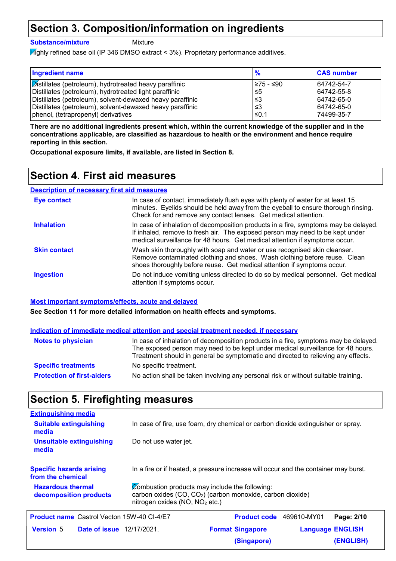### **Section 3. Composition/information on ingredients**

**Substance/mixture**

Mixture

Highly refined base oil (IP 346 DMSO extract < 3%). Proprietary performance additives.

| <b>Ingredient name</b>                                        | $\frac{9}{6}$ | <b>CAS number</b> |
|---------------------------------------------------------------|---------------|-------------------|
| <b>Distillates (petroleum), hydrotreated heavy paraffinic</b> | l≥75 - ≤90    | 64742-54-7        |
| Distillates (petroleum), hydrotreated light paraffinic        | l≤5           | 64742-55-8        |
| Distillates (petroleum), solvent-dewaxed heavy paraffinic     | ا≤3           | 64742-65-0        |
| Distillates (petroleum), solvent-dewaxed heavy paraffinic     | ا≥ ا          | 64742-65-0        |
| phenol, (tetrapropenyl) derivatives                           | ≤0.1          | 74499-35-7        |

**There are no additional ingredients present which, within the current knowledge of the supplier and in the concentrations applicable, are classified as hazardous to health or the environment and hence require reporting in this section.**

**Occupational exposure limits, if available, are listed in Section 8.**

### **Section 4. First aid measures**

#### **Description of necessary first aid measures**

| Eye contact         | In case of contact, immediately flush eyes with plenty of water for at least 15<br>minutes. Eyelids should be held away from the eyeball to ensure thorough rinsing.<br>Check for and remove any contact lenses. Get medical attention.             |
|---------------------|-----------------------------------------------------------------------------------------------------------------------------------------------------------------------------------------------------------------------------------------------------|
| <b>Inhalation</b>   | In case of inhalation of decomposition products in a fire, symptoms may be delayed.<br>If inhaled, remove to fresh air. The exposed person may need to be kept under<br>medical surveillance for 48 hours. Get medical attention if symptoms occur. |
| <b>Skin contact</b> | Wash skin thoroughly with soap and water or use recognised skin cleanser.<br>Remove contaminated clothing and shoes. Wash clothing before reuse. Clean<br>shoes thoroughly before reuse. Get medical attention if symptoms occur.                   |
| <b>Ingestion</b>    | Do not induce vomiting unless directed to do so by medical personnel. Get medical<br>attention if symptoms occur.                                                                                                                                   |

#### **Most important symptoms/effects, acute and delayed**

**See Section 11 for more detailed information on health effects and symptoms.**

#### **Indication of immediate medical attention and special treatment needed, if necessary**

| <b>Notes to physician</b>         | In case of inhalation of decomposition products in a fire, symptoms may be delayed.<br>The exposed person may need to be kept under medical surveillance for 48 hours.<br>Treatment should in general be symptomatic and directed to relieving any effects. |
|-----------------------------------|-------------------------------------------------------------------------------------------------------------------------------------------------------------------------------------------------------------------------------------------------------------|
| <b>Specific treatments</b>        | No specific treatment.                                                                                                                                                                                                                                      |
| <b>Protection of first-aiders</b> | No action shall be taken involving any personal risk or without suitable training.                                                                                                                                                                          |

### **Section 5. Firefighting measures**

| <b>Extinguishing media</b>                           |                                                                                                                                                                  |                                 |                         |                  |
|------------------------------------------------------|------------------------------------------------------------------------------------------------------------------------------------------------------------------|---------------------------------|-------------------------|------------------|
| <b>Suitable extinguishing</b><br>media               | In case of fire, use foam, dry chemical or carbon dioxide extinguisher or spray.                                                                                 |                                 |                         |                  |
| Unsuitable extinguishing<br>media                    | Do not use water jet.                                                                                                                                            |                                 |                         |                  |
| <b>Specific hazards arising</b><br>from the chemical | In a fire or if heated, a pressure increase will occur and the container may burst.                                                                              |                                 |                         |                  |
| <b>Hazardous thermal</b><br>decomposition products   | Combustion products may include the following:<br>carbon oxides (CO, CO <sub>2</sub> ) (carbon monoxide, carbon dioxide)<br>nitrogen oxides ( $NO$ , $NO2$ etc.) |                                 |                         |                  |
| <b>Product name</b> Castrol Vecton 15W-40 CI-4/E7    |                                                                                                                                                                  | <b>Product code</b> 469610-MY01 |                         | Page: 2/10       |
| <b>Version 5</b><br><b>Date of issue</b> 12/17/2021. |                                                                                                                                                                  | <b>Format Singapore</b>         | <b>Language ENGLISH</b> |                  |
|                                                      |                                                                                                                                                                  | (Singapore)                     |                         | <b>(ENGLISH)</b> |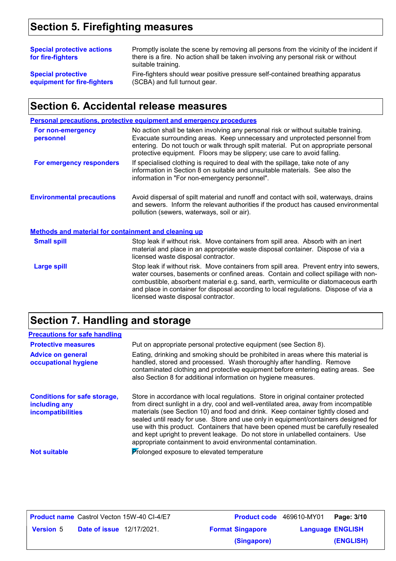# **Section 5. Firefighting measures**

| <b>Special protective actions</b><br>for fire-fighters | Promptly isolate the scene by removing all persons from the vicinity of the incident if<br>there is a fire. No action shall be taken involving any personal risk or without<br>suitable training. |
|--------------------------------------------------------|---------------------------------------------------------------------------------------------------------------------------------------------------------------------------------------------------|
| <b>Special protective</b>                              | Fire-fighters should wear positive pressure self-contained breathing apparatus                                                                                                                    |
| equipment for fire-fighters                            | (SCBA) and full turnout gear.                                                                                                                                                                     |

## **Section 6. Accidental release measures**

|                                                      | Personal precautions, protective equipment and emergency procedures                                                                                                                                                                                                                                                                                                                                |
|------------------------------------------------------|----------------------------------------------------------------------------------------------------------------------------------------------------------------------------------------------------------------------------------------------------------------------------------------------------------------------------------------------------------------------------------------------------|
| For non-emergency<br>personnel                       | No action shall be taken involving any personal risk or without suitable training.<br>Evacuate surrounding areas. Keep unnecessary and unprotected personnel from<br>entering. Do not touch or walk through spilt material. Put on appropriate personal<br>protective equipment. Floors may be slippery; use care to avoid falling.                                                                |
| For emergency responders                             | If specialised clothing is required to deal with the spillage, take note of any<br>information in Section 8 on suitable and unsuitable materials. See also the<br>information in "For non-emergency personnel".                                                                                                                                                                                    |
| <b>Environmental precautions</b>                     | Avoid dispersal of spilt material and runoff and contact with soil, waterways, drains<br>and sewers. Inform the relevant authorities if the product has caused environmental<br>pollution (sewers, waterways, soil or air).                                                                                                                                                                        |
| Methods and material for containment and cleaning up |                                                                                                                                                                                                                                                                                                                                                                                                    |
| <b>Small spill</b>                                   | Stop leak if without risk. Move containers from spill area. Absorb with an inert<br>material and place in an appropriate waste disposal container. Dispose of via a<br>licensed waste disposal contractor.                                                                                                                                                                                         |
| <b>Large spill</b>                                   | Stop leak if without risk. Move containers from spill area. Prevent entry into sewers,<br>water courses, basements or confined areas. Contain and collect spillage with non-<br>combustible, absorbent material e.g. sand, earth, vermiculite or diatomaceous earth<br>and place in container for disposal according to local regulations. Dispose of via a<br>licensed waste disposal contractor. |

# **Section 7. Handling and storage**

| <b>Precautions for safe handling</b>                                      |                                                                                                                                                                                                                                                                                                                                                                                                                                                                                                                                                                                                |
|---------------------------------------------------------------------------|------------------------------------------------------------------------------------------------------------------------------------------------------------------------------------------------------------------------------------------------------------------------------------------------------------------------------------------------------------------------------------------------------------------------------------------------------------------------------------------------------------------------------------------------------------------------------------------------|
| <b>Protective measures</b>                                                | Put on appropriate personal protective equipment (see Section 8).                                                                                                                                                                                                                                                                                                                                                                                                                                                                                                                              |
| <b>Advice on general</b><br>occupational hygiene                          | Eating, drinking and smoking should be prohibited in areas where this material is<br>handled, stored and processed. Wash thoroughly after handling. Remove<br>contaminated clothing and protective equipment before entering eating areas. See<br>also Section 8 for additional information on hygiene measures.                                                                                                                                                                                                                                                                               |
| <b>Conditions for safe storage,</b><br>including any<br>incompatibilities | Store in accordance with local regulations. Store in original container protected<br>from direct sunlight in a dry, cool and well-ventilated area, away from incompatible<br>materials (see Section 10) and food and drink. Keep container tightly closed and<br>sealed until ready for use. Store and use only in equipment/containers designed for<br>use with this product. Containers that have been opened must be carefully resealed<br>and kept upright to prevent leakage. Do not store in unlabelled containers. Use<br>appropriate containment to avoid environmental contamination. |
| <b>Not suitable</b>                                                       | Prolonged exposure to elevated temperature                                                                                                                                                                                                                                                                                                                                                                                                                                                                                                                                                     |

| <b>Product name</b> Castrol Vecton 15W-40 CI-4/E7    |                         | <b>Product code</b> 469610-MY01 | Page: 3/10 |
|------------------------------------------------------|-------------------------|---------------------------------|------------|
| <b>Date of issue</b> 12/17/2021.<br><b>Version 5</b> | <b>Format Singapore</b> | <b>Language ENGLISH</b>         |            |
|                                                      | (Singapore)             |                                 | (ENGLISH)  |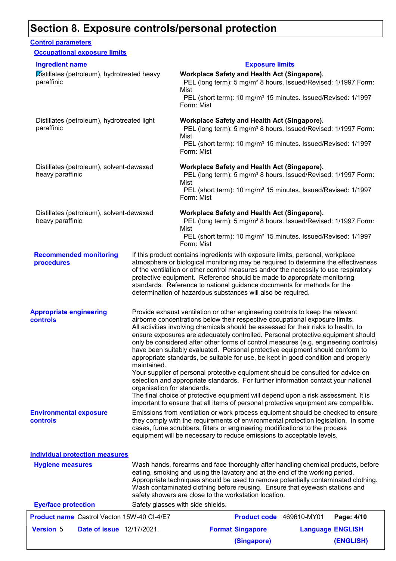### **Section 8. Exposure controls/personal protection**

#### **Recommended monitoring procedures** If this product contains ingredients with exposure limits, personal, workplace atmosphere or biological monitoring may be required to determine the effectiveness of the ventilation or other control measures and/or the necessity to use respiratory protective equipment. Reference should be made to appropriate monitoring standards. Reference to national guidance documents for methods for the determination of hazardous substances will also be required. **Eye/face protection** Safety glasses with side shields. **Environmental exposure controls** Emissions from ventilation or work process equipment should be checked to ensure they comply with the requirements of environmental protection legislation. In some cases, fume scrubbers, filters or engineering modifications to the process equipment will be necessary to reduce emissions to acceptable levels. **Appropriate engineering controls** Provide exhaust ventilation or other engineering controls to keep the relevant airborne concentrations below their respective occupational exposure limits. All activities involving chemicals should be assessed for their risks to health, to ensure exposures are adequately controlled. Personal protective equipment should only be considered after other forms of control measures (e.g. engineering controls) have been suitably evaluated. Personal protective equipment should conform to appropriate standards, be suitable for use, be kept in good condition and properly maintained. Your supplier of personal protective equipment should be consulted for advice on selection and appropriate standards. For further information contact your national organisation for standards. The final choice of protective equipment will depend upon a risk assessment. It is important to ensure that all items of personal protective equipment are compatible. Wash hands, forearms and face thoroughly after handling chemical products, before eating, smoking and using the lavatory and at the end of the working period. Appropriate techniques should be used to remove potentially contaminated clothing. Wash contaminated clothing before reusing. Ensure that eyewash stations and safety showers are close to the workstation location. **Hygiene measures Control parameters Individual protection measures Occupational exposure limits** Distillates (petroleum), hydrotreated heavy paraffinic **Workplace Safety and Health Act (Singapore).** PEL (long term): 5 mg/m<sup>3</sup> 8 hours. Issued/Revised: 1/1997 Form: Mist PEL (short term): 10 mg/m<sup>3</sup> 15 minutes. Issued/Revised: 1/1997 Form: Mist Distillates (petroleum), hydrotreated light paraffinic **Workplace Safety and Health Act (Singapore).** PEL (long term): 5 mg/m<sup>3</sup> 8 hours. Issued/Revised: 1/1997 Form: Mist PEL (short term): 10 mg/m<sup>3</sup> 15 minutes. Issued/Revised: 1/1997 Form: Mist Distillates (petroleum), solvent-dewaxed heavy paraffinic **Workplace Safety and Health Act (Singapore).** PEL (long term): 5 mg/m<sup>3</sup> 8 hours. Issued/Revised: 1/1997 Form: Mist PEL (short term): 10 mg/m<sup>3</sup> 15 minutes. Issued/Revised: 1/1997 Form: Mist Distillates (petroleum), solvent-dewaxed heavy paraffinic **Workplace Safety and Health Act (Singapore).** PEL (long term): 5 mg/m<sup>3</sup> 8 hours. Issued/Revised: 1/1997 Form: Mist PEL (short term): 10 mg/m<sup>3</sup> 15 minutes. Issued/Revised: 1/1997 Form: Mist **Ingredient name Exposure limits** 469610-MY01

|                  |                                  | <b>Product name</b> Castrol Vecton 15W-40 CI-4/E7 | Product code 469610-MY01 |                         | Page: 4/10 |
|------------------|----------------------------------|---------------------------------------------------|--------------------------|-------------------------|------------|
| <b>Version 5</b> | <b>Date of issue</b> 12/17/2021. |                                                   | <b>Format Singapore</b>  | <b>Language ENGLISH</b> |            |
|                  |                                  |                                                   | (Singapore)              |                         | (ENGLISH)  |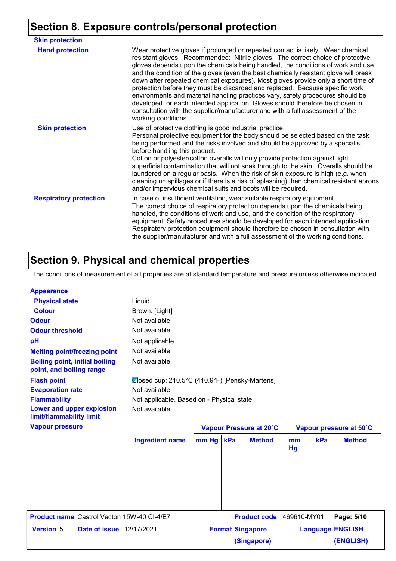# **Section 8. Exposure controls/personal protection**

| <b>Skin protection</b>        |                                                                                                                                                                                                                                                                                                                                                                                                                                                                                                                                                                                                                                                                                                                                                                                                 |
|-------------------------------|-------------------------------------------------------------------------------------------------------------------------------------------------------------------------------------------------------------------------------------------------------------------------------------------------------------------------------------------------------------------------------------------------------------------------------------------------------------------------------------------------------------------------------------------------------------------------------------------------------------------------------------------------------------------------------------------------------------------------------------------------------------------------------------------------|
| <b>Hand protection</b>        | Wear protective gloves if prolonged or repeated contact is likely. Wear chemical<br>resistant gloves. Recommended: Nitrile gloves. The correct choice of protective<br>gloves depends upon the chemicals being handled, the conditions of work and use,<br>and the condition of the gloves (even the best chemically resistant glove will break<br>down after repeated chemical exposures). Most gloves provide only a short time of<br>protection before they must be discarded and replaced. Because specific work<br>environments and material handling practices vary, safety procedures should be<br>developed for each intended application. Gloves should therefore be chosen in<br>consultation with the supplier/manufacturer and with a full assessment of the<br>working conditions. |
| <b>Skin protection</b>        | Use of protective clothing is good industrial practice.<br>Personal protective equipment for the body should be selected based on the task<br>being performed and the risks involved and should be approved by a specialist<br>before handling this product.<br>Cotton or polyester/cotton overalls will only provide protection against light<br>superficial contamination that will not soak through to the skin. Overalls should be<br>laundered on a regular basis. When the risk of skin exposure is high (e.g. when<br>cleaning up spillages or if there is a risk of splashing) then chemical resistant aprons<br>and/or impervious chemical suits and boots will be required.                                                                                                           |
| <b>Respiratory protection</b> | In case of insufficient ventilation, wear suitable respiratory equipment.<br>The correct choice of respiratory protection depends upon the chemicals being<br>handled, the conditions of work and use, and the condition of the respiratory<br>equipment. Safety procedures should be developed for each intended application.<br>Respiratory protection equipment should therefore be chosen in consultation with<br>the supplier/manufacturer and with a full assessment of the working conditions.                                                                                                                                                                                                                                                                                           |

# **Section 9. Physical and chemical properties**

The conditions of measurement of all properties are at standard temperature and pressure unless otherwise indicated.

| <b>Appearance</b>                                                 |                                                |                         |     |                          |                         |     |               |
|-------------------------------------------------------------------|------------------------------------------------|-------------------------|-----|--------------------------|-------------------------|-----|---------------|
| <b>Physical state</b>                                             | Liquid.                                        |                         |     |                          |                         |     |               |
| <b>Colour</b>                                                     | Brown. [Light]                                 |                         |     |                          |                         |     |               |
| <b>Odour</b>                                                      | Not available.                                 |                         |     |                          |                         |     |               |
| <b>Odour threshold</b>                                            | Not available.                                 |                         |     |                          |                         |     |               |
| pH                                                                | Not applicable.                                |                         |     |                          |                         |     |               |
| <b>Melting point/freezing point</b>                               | Not available.                                 |                         |     |                          |                         |     |               |
| <b>Boiling point, initial boiling</b><br>point, and boiling range | Not available.                                 |                         |     |                          |                         |     |               |
| <b>Flash point</b>                                                | Closed cup: 210.5°C (410.9°F) [Pensky-Martens] |                         |     |                          |                         |     |               |
| <b>Evaporation rate</b>                                           | Not available.                                 |                         |     |                          |                         |     |               |
| <b>Flammability</b>                                               | Not applicable. Based on - Physical state      |                         |     |                          |                         |     |               |
| Lower and upper explosion<br>limit/flammability limit             | Not available.                                 |                         |     |                          |                         |     |               |
| <b>Vapour pressure</b>                                            |                                                | Vapour Pressure at 20°C |     |                          | Vapour pressure at 50°C |     |               |
|                                                                   | <b>Ingredient name</b>                         | mm Hg                   | kPa | <b>Method</b>            | mm<br>Hg                | kPa | <b>Method</b> |
|                                                                   |                                                |                         |     |                          |                         |     |               |
|                                                                   |                                                |                         |     |                          |                         |     |               |
|                                                                   |                                                |                         |     |                          |                         |     |               |
| <b>Product name</b> Castrol Vecton 15W-40 CI-4/E7                 |                                                |                         |     | Product code 469610-MY01 |                         |     | Page: 5/10    |
| <b>Version 5</b><br><b>Date of issue</b> 12/17/2021.              | <b>Format Singapore</b>                        |                         |     |                          | <b>Language ENGLISH</b> |     |               |
|                                                                   |                                                |                         |     | (Singapore)              |                         |     | (ENGLISH)     |
|                                                                   |                                                |                         |     |                          |                         |     |               |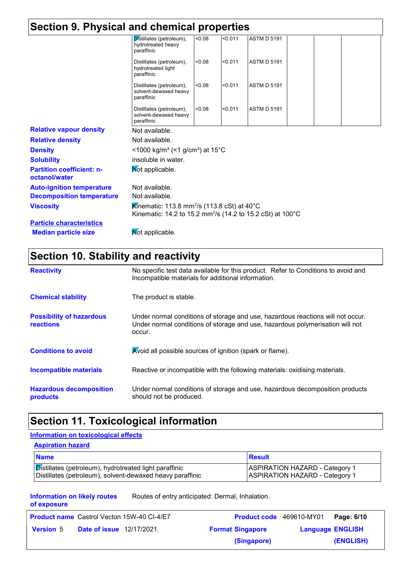| Section 9. Physical and chemical properties       |                                                                                                                                                |        |         |                    |  |
|---------------------------------------------------|------------------------------------------------------------------------------------------------------------------------------------------------|--------|---------|--------------------|--|
|                                                   | Distillates (petroleum),<br>hydrotreated heavy<br>paraffinic                                                                                   | < 0.08 | < 0.011 | <b>ASTM D 5191</b> |  |
|                                                   | Distillates (petroleum),<br>hydrotreated light<br>paraffinic                                                                                   | < 0.08 | < 0.011 | <b>ASTM D 5191</b> |  |
|                                                   | Distillates (petroleum),<br>solvent-dewaxed heavy<br>paraffinic                                                                                | < 0.08 | < 0.011 | <b>ASTM D 5191</b> |  |
|                                                   | Distillates (petroleum),<br>solvent-dewaxed heavy<br>paraffinic                                                                                | < 0.08 | < 0.011 | <b>ASTM D 5191</b> |  |
| <b>Relative vapour density</b>                    | Not available.                                                                                                                                 |        |         |                    |  |
| <b>Relative density</b>                           | Not available.                                                                                                                                 |        |         |                    |  |
| <b>Density</b>                                    | <1000 kg/m <sup>3</sup> (<1 g/cm <sup>3</sup> ) at 15°C                                                                                        |        |         |                    |  |
| <b>Solubility</b>                                 | insoluble in water.                                                                                                                            |        |         |                    |  |
| <b>Partition coefficient: n-</b><br>octanol/water | Mot applicable.                                                                                                                                |        |         |                    |  |
| <b>Auto-ignition temperature</b>                  | Not available.                                                                                                                                 |        |         |                    |  |
| <b>Decomposition temperature</b>                  | Not available.                                                                                                                                 |        |         |                    |  |
| <b>Viscosity</b>                                  | Kinematic: 113.8 mm <sup>2</sup> /s (113.8 cSt) at 40 <sup>°</sup> C<br>Kinematic: 14.2 to 15.2 mm <sup>2</sup> /s (14.2 to 15.2 cSt) at 100°C |        |         |                    |  |
| <b>Particle characteristics</b>                   |                                                                                                                                                |        |         |                    |  |
| <b>Median particle size</b>                       | Mot applicable.                                                                                                                                |        |         |                    |  |

# **Section 10. Stability and reactivity**

| <b>Reactivity</b>                                   | No specific test data available for this product. Refer to Conditions to avoid and<br>Incompatible materials for additional information.                                   |
|-----------------------------------------------------|----------------------------------------------------------------------------------------------------------------------------------------------------------------------------|
| <b>Chemical stability</b>                           | The product is stable.                                                                                                                                                     |
| <b>Possibility of hazardous</b><br><b>reactions</b> | Under normal conditions of storage and use, hazardous reactions will not occur.<br>Under normal conditions of storage and use, hazardous polymerisation will not<br>occur. |
| <b>Conditions to avoid</b>                          | Avoid all possible sources of ignition (spark or flame).                                                                                                                   |
| Incompatible materials                              | Reactive or incompatible with the following materials: oxidising materials.                                                                                                |
| <b>Hazardous decomposition</b><br>products          | Under normal conditions of storage and use, hazardous decomposition products<br>should not be produced.                                                                    |

# **Section 11. Toxicological information**

#### **Information on toxicological effects**

#### **Aspiration hazard**

| <b>Name</b>                                                   | Result                                |
|---------------------------------------------------------------|---------------------------------------|
| <b>Distillates (petroleum), hydrotreated light paraffinic</b> | <b>ASPIRATION HAZARD - Category 1</b> |
| Distillates (petroleum), solvent-dewaxed heavy paraffinic     | <b>ASPIRATION HAZARD - Category 1</b> |

**Information on likely routes of exposure** Routes of entry anticipated: Dermal, Inhalation.

|                                                      |  | <b>Product name</b> Castrol Vecton 15W-40 CI-4/E7 | Product code 469610-MY01 |  | Page: 6/10 |
|------------------------------------------------------|--|---------------------------------------------------|--------------------------|--|------------|
| <b>Date of issue</b> 12/17/2021.<br><b>Version 5</b> |  | <b>Format Singapore</b>                           | <b>Language ENGLISH</b>  |  |            |
|                                                      |  |                                                   | (Singapore)              |  | (ENGLISH)  |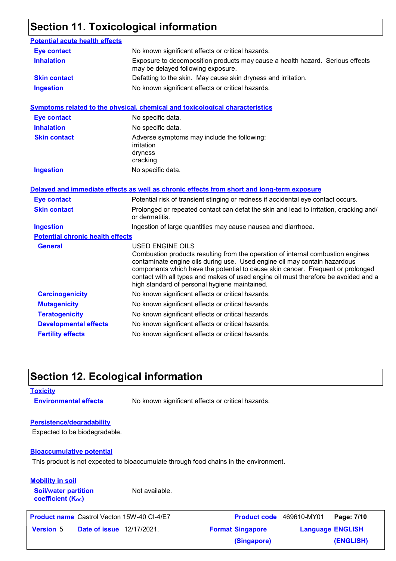# **Section 11. Toxicological information**

| <b>Potential acute health effects</b>   |                                                                                                                                                                                                                                                                                                                                                                                                                    |  |  |  |
|-----------------------------------------|--------------------------------------------------------------------------------------------------------------------------------------------------------------------------------------------------------------------------------------------------------------------------------------------------------------------------------------------------------------------------------------------------------------------|--|--|--|
| <b>Eye contact</b>                      | No known significant effects or critical hazards.                                                                                                                                                                                                                                                                                                                                                                  |  |  |  |
| <b>Inhalation</b>                       | Exposure to decomposition products may cause a health hazard. Serious effects<br>may be delayed following exposure.                                                                                                                                                                                                                                                                                                |  |  |  |
| <b>Skin contact</b>                     | Defatting to the skin. May cause skin dryness and irritation.                                                                                                                                                                                                                                                                                                                                                      |  |  |  |
| <b>Ingestion</b>                        | No known significant effects or critical hazards.                                                                                                                                                                                                                                                                                                                                                                  |  |  |  |
|                                         | Symptoms related to the physical, chemical and toxicological characteristics                                                                                                                                                                                                                                                                                                                                       |  |  |  |
| <b>Eye contact</b>                      | No specific data.                                                                                                                                                                                                                                                                                                                                                                                                  |  |  |  |
| <b>Inhalation</b>                       | No specific data.                                                                                                                                                                                                                                                                                                                                                                                                  |  |  |  |
| <b>Skin contact</b>                     | Adverse symptoms may include the following:<br>irritation<br>dryness<br>cracking                                                                                                                                                                                                                                                                                                                                   |  |  |  |
| <b>Ingestion</b>                        | No specific data.                                                                                                                                                                                                                                                                                                                                                                                                  |  |  |  |
| <b>Eye contact</b>                      | Delayed and immediate effects as well as chronic effects from short and long-term exposure<br>Potential risk of transient stinging or redness if accidental eye contact occurs.                                                                                                                                                                                                                                    |  |  |  |
| <b>Skin contact</b>                     | Prolonged or repeated contact can defat the skin and lead to irritation, cracking and/                                                                                                                                                                                                                                                                                                                             |  |  |  |
|                                         | or dermatitis.                                                                                                                                                                                                                                                                                                                                                                                                     |  |  |  |
| <b>Ingestion</b>                        | Ingestion of large quantities may cause nausea and diarrhoea.                                                                                                                                                                                                                                                                                                                                                      |  |  |  |
| <b>Potential chronic health effects</b> |                                                                                                                                                                                                                                                                                                                                                                                                                    |  |  |  |
| <b>General</b>                          | <b>USED ENGINE OILS</b><br>Combustion products resulting from the operation of internal combustion engines<br>contaminate engine oils during use. Used engine oil may contain hazardous<br>components which have the potential to cause skin cancer. Frequent or prolonged<br>contact with all types and makes of used engine oil must therefore be avoided and a<br>high standard of personal hygiene maintained. |  |  |  |
| <b>Carcinogenicity</b>                  | No known significant effects or critical hazards.                                                                                                                                                                                                                                                                                                                                                                  |  |  |  |
| <b>Mutagenicity</b>                     | No known significant effects or critical hazards.                                                                                                                                                                                                                                                                                                                                                                  |  |  |  |
| <b>Teratogenicity</b>                   | No known significant effects or critical hazards.                                                                                                                                                                                                                                                                                                                                                                  |  |  |  |
| <b>Developmental effects</b>            | No known significant effects or critical hazards.                                                                                                                                                                                                                                                                                                                                                                  |  |  |  |
| <b>Fertility effects</b>                | No known significant effects or critical hazards.                                                                                                                                                                                                                                                                                                                                                                  |  |  |  |
|                                         |                                                                                                                                                                                                                                                                                                                                                                                                                    |  |  |  |

### **Section 12. Ecological information**

#### **Toxicity**

**Environmental effects** No known significant effects or critical hazards.

#### **Persistence/degradability**

Expected to be biodegradable.

#### **Bioaccumulative potential**

This product is not expected to bioaccumulate through food chains in the environment.

#### **Mobility in soil**

**Soil/water partition coefficient (KOC)**

Not available.

**Product name** Castrol Vecton 15W-40 CI-4/E7

**Date of issue** 12/17/2021. **Version** 5 **Format Singapore Language** Castrol Vecton 15W-40 CI-4/E7 **Product code** 469610-MY01 **Page: 7/10** | **Language ENGLISH (ENGLISH) (Singapore)**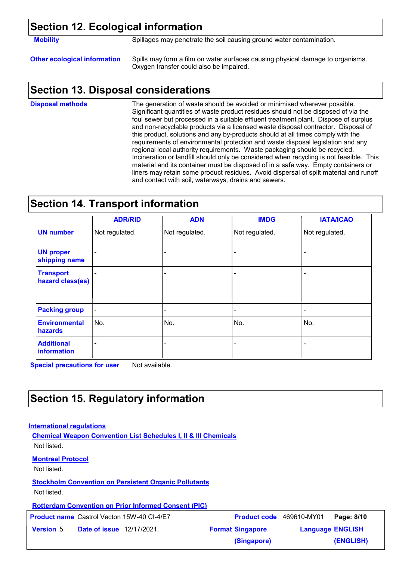### **Section 12. Ecological information**

**Mobility** Spillages may penetrate the soil causing ground water contamination.

**Other ecological information** Spills may form a film on water surfaces causing physical damage to organisms. Oxygen transfer could also be impaired.

### **Section 13. Disposal considerations**

The generation of waste should be avoided or minimised wherever possible. Significant quantities of waste product residues should not be disposed of via the foul sewer but processed in a suitable effluent treatment plant. Dispose of surplus and non-recyclable products via a licensed waste disposal contractor. Disposal of this product, solutions and any by-products should at all times comply with the requirements of environmental protection and waste disposal legislation and any regional local authority requirements. Waste packaging should be recycled. Incineration or landfill should only be considered when recycling is not feasible. This material and its container must be disposed of in a safe way. Empty containers or liners may retain some product residues. Avoid dispersal of spilt material and runoff and contact with soil, waterways, drains and sewers. **Disposal methods**

### **Section 14. Transport information**

|                                      | <b>ADR/RID</b> | <b>ADN</b>               | <b>IMDG</b>    | <b>IATA/ICAO</b> |
|--------------------------------------|----------------|--------------------------|----------------|------------------|
| <b>UN number</b>                     | Not regulated. | Not regulated.           | Not regulated. | Not regulated.   |
| <b>UN proper</b><br>shipping name    | $\equiv$       | $\overline{\phantom{0}}$ |                |                  |
| <b>Transport</b><br>hazard class(es) |                | $\overline{\phantom{0}}$ |                |                  |
| <b>Packing group</b>                 | $\blacksquare$ | $\blacksquare$           |                |                  |
| <b>Environmental</b><br>hazards      | No.            | No.                      | No.            | No.              |
| <b>Additional</b><br>information     | $\blacksquare$ |                          |                |                  |

**Special precautions for user** Not available.

### **Section 15. Regulatory information**

#### **International regulations**

**Chemical Weapon Convention List Schedules I, II & III Chemicals** Not listed.

#### **Montreal Protocol**

Not listed.

**Stockholm Convention on Persistent Organic Pollutants**

Not listed.

**Rotterdam Convention on Prior Informed Consent (PIC)**

**Product name** Castrol Vecton 15W-40 CI-4/E7

**Date of issue** 12/17/2021. **Version** 5 **Format Singapore Language** Castrol Vecton 15W-40 CI-4/E7 **Product code** 469610-MY01 **Page: 8/10** | **Language ENGLISH (ENGLISH) (Singapore)**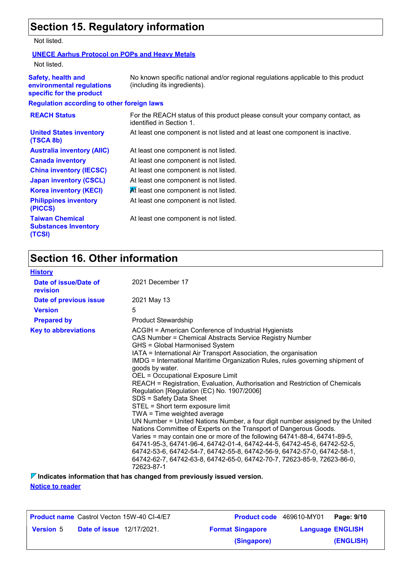# **Section 15. Regulatory information**

Not listed.

#### **UNECE Aarhus Protocol on POPs and Heavy Metals**

Not listed.

| <b>Safety, health and</b><br>environmental regulations<br>specific for the product | No known specific national and/or regional regulations applicable to this product<br>(including its ingredients). |
|------------------------------------------------------------------------------------|-------------------------------------------------------------------------------------------------------------------|
| <b>Regulation according to other foreign laws</b>                                  |                                                                                                                   |
| <b>REACH Status</b>                                                                | For the REACH status of this product please consult your company contact, as<br>identified in Section 1.          |
| <b>United States inventory</b><br>(TSCA 8b)                                        | At least one component is not listed and at least one component is inactive.                                      |
| <b>Australia inventory (AIIC)</b>                                                  | At least one component is not listed.                                                                             |
| <b>Canada inventory</b>                                                            | At least one component is not listed.                                                                             |
| <b>China inventory (IECSC)</b>                                                     | At least one component is not listed.                                                                             |
| <b>Japan inventory (CSCL)</b>                                                      | At least one component is not listed.                                                                             |
| <b>Korea inventory (KECI)</b>                                                      | At least one component is not listed.                                                                             |
| <b>Philippines inventory</b><br>(PICCS)                                            | At least one component is not listed.                                                                             |
| <b>Taiwan Chemical</b><br><b>Substances Inventory</b><br>(TCSI)                    | At least one component is not listed.                                                                             |

# **Section 16. Other information**

| <b>History</b>                    |                                                                                                                                                                                                                                                                                                                                                                                                                                                                                                                                                                                                                                                                                                                                                                                                                                                                                                                                                                                                                                                                              |
|-----------------------------------|------------------------------------------------------------------------------------------------------------------------------------------------------------------------------------------------------------------------------------------------------------------------------------------------------------------------------------------------------------------------------------------------------------------------------------------------------------------------------------------------------------------------------------------------------------------------------------------------------------------------------------------------------------------------------------------------------------------------------------------------------------------------------------------------------------------------------------------------------------------------------------------------------------------------------------------------------------------------------------------------------------------------------------------------------------------------------|
| Date of issue/Date of<br>revision | 2021 December 17                                                                                                                                                                                                                                                                                                                                                                                                                                                                                                                                                                                                                                                                                                                                                                                                                                                                                                                                                                                                                                                             |
| Date of previous issue            | 2021 May 13                                                                                                                                                                                                                                                                                                                                                                                                                                                                                                                                                                                                                                                                                                                                                                                                                                                                                                                                                                                                                                                                  |
| <b>Version</b>                    | 5                                                                                                                                                                                                                                                                                                                                                                                                                                                                                                                                                                                                                                                                                                                                                                                                                                                                                                                                                                                                                                                                            |
| <b>Prepared by</b>                | <b>Product Stewardship</b>                                                                                                                                                                                                                                                                                                                                                                                                                                                                                                                                                                                                                                                                                                                                                                                                                                                                                                                                                                                                                                                   |
| <b>Key to abbreviations</b>       | ACGIH = American Conference of Industrial Hygienists<br>CAS Number = Chemical Abstracts Service Registry Number<br>GHS = Global Harmonised System<br>IATA = International Air Transport Association, the organisation<br>IMDG = International Maritime Organization Rules, rules governing shipment of<br>goods by water.<br>OEL = Occupational Exposure Limit<br>REACH = Registration, Evaluation, Authorisation and Restriction of Chemicals<br>Regulation [Regulation (EC) No. 1907/2006]<br>SDS = Safety Data Sheet<br>STEL = Short term exposure limit<br>TWA = Time weighted average<br>UN Number = United Nations Number, a four digit number assigned by the United<br>Nations Committee of Experts on the Transport of Dangerous Goods.<br>Varies = may contain one or more of the following 64741-88-4, 64741-89-5,<br>64741-95-3, 64741-96-4, 64742-01-4, 64742-44-5, 64742-45-6, 64742-52-5,<br>64742-53-6, 64742-54-7, 64742-55-8, 64742-56-9, 64742-57-0, 64742-58-1,<br>64742-62-7, 64742-63-8, 64742-65-0, 64742-70-7, 72623-85-9, 72623-86-0,<br>72623-87-1 |

**Notice to reader Indicates information that has changed from previously issued version.**

|                  |                                  | <b>Product name</b> Castrol Vecton 15W-40 CI-4/E7 | Product code 469610-MY01 |                         | Page: 9/10 |
|------------------|----------------------------------|---------------------------------------------------|--------------------------|-------------------------|------------|
| <b>Version 5</b> | <b>Date of issue</b> 12/17/2021. |                                                   | <b>Format Singapore</b>  | <b>Language ENGLISH</b> |            |
|                  |                                  |                                                   | (Singapore)              | (ENGLISH)               |            |